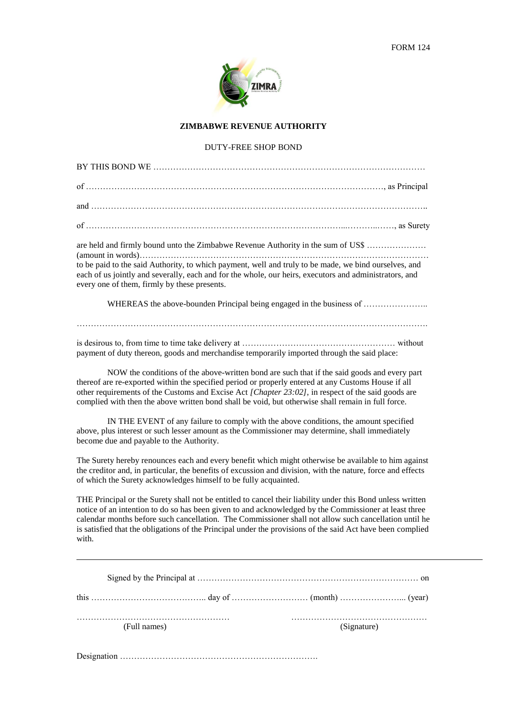

## **ZIMBABWE REVENUE AUTHORITY**

## DUTY-FREE SHOP BOND

BY THIS BOND WE

| are held and firmly bound unto the Zimbabwe Revenue Authority in the sum of US\$<br>to be paid to the said Authority, to which payment, well and truly to be made, we bind ourselves, and |
|-------------------------------------------------------------------------------------------------------------------------------------------------------------------------------------------|
| each of us jointly and severally, each and for the whole, our heirs, executors and administrators, and<br>every one of them, firmly by these presents.                                    |
| <b>WITHDEAC</b> decided to a factor $\mathbf{D}$ decided to a factor of the decided of $\mathbf{C}$                                                                                       |

WHEREAS the above-bounden Principal being engaged in the business of ...............................

…………………………………………………………………………………………………………….

is desirous to, from time to time take delivery at ……………………………………………… without payment of duty thereon, goods and merchandise temporarily imported through the said place:

NOW the conditions of the above-written bond are such that if the said goods and every part thereof are re-exported within the specified period or properly entered at any Customs House if all other requirements of the Customs and Excise Act *[Chapter 23:02],* in respect of the said goods are complied with then the above written bond shall be void, but otherwise shall remain in full force.

IN THE EVENT of any failure to comply with the above conditions, the amount specified above, plus interest or such lesser amount as the Commissioner may determine, shall immediately become due and payable to the Authority.

The Surety hereby renounces each and every benefit which might otherwise be available to him against the creditor and, in particular, the benefits of excussion and division, with the nature, force and effects of which the Surety acknowledges himself to be fully acquainted.

THE Principal or the Surety shall not be entitled to cancel their liability under this Bond unless written notice of an intention to do so has been given to and acknowledged by the Commissioner at least three calendar months before such cancellation. The Commissioner shall not allow such cancellation until he is satisfied that the obligations of the Principal under the provisions of the said Act have been complied with.

| (Full names) | (Signature) |
|--------------|-------------|

Designation …………………………………………………………….